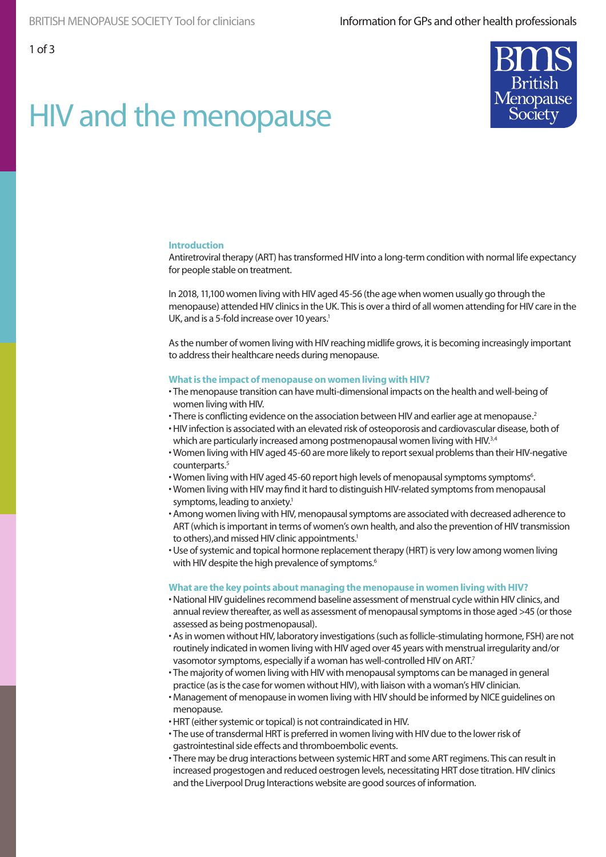

# HIV and the menopause

#### **Introduction**

Antiretroviral therapy (ART) has transformed HIV into a long-term condition with normal life expectancy for people stable on treatment.

In 2018, 11,100 women living with HIV aged 45-56 (the age when women usually go through the menopause) attended HIV clinics in the UK. This is over a third of all women attending for HIV care in the UK, and is a 5-fold increase over 10 years.<sup>1</sup>

As the number of women living with HIV reaching midlife grows, it is becoming increasingly important to address their healthcare needs during menopause.

#### **What is the impact of menopause on women living with HIV?**

- The menopause transition can have multi-dimensional impacts on the health and well-being of women living with HIV.
- There is conflicting evidence on the association between HIV and earlier age at menopause.<sup>2</sup>
- HIV infection is associated with an elevated risk of osteoporosis and cardiovascular disease, both of which are particularly increased among postmenopausal women living with HIV.<sup>3,4</sup>
- Women living with HIV aged 45-60 are more likely to report sexual problems than their HIV-negative counterparts.5
- Women living with HIV aged 45-60 report high levels of menopausal symptoms symptoms<sup>6</sup>.
- Women living with HIV may find it hard to distinguish HIV-related symptoms from menopausal symptoms, leading to anxiety.<sup>1</sup>
- Among women living with HIV, menopausal symptoms are associated with decreased adherence to ART (which is important in terms of women's own health, and also the prevention of HIV transmission to others), and missed HIV clinic appointments.<sup>1</sup>
- Use of systemic and topical hormone replacement therapy (HRT) is very low among women living with HIV despite the high prevalence of symptoms.<sup>6</sup>

#### **What are the key points about managing the menopause in women living with HIV?**

- National HIV guidelines recommend baseline assessment of menstrual cycle within HIV clinics, and annual review thereafter, as well as assessment of menopausal symptoms in those aged >45 (or those assessed as being postmenopausal).
- As in women without HIV, laboratory investigations (such as follicle-stimulating hormone, FSH) are not routinely indicated in women living with HIV aged over 45 years with menstrual irregularity and/or vasomotor symptoms, especially if a woman has well-controlled HIV on ART.7
- The majority of women living with HIV with menopausal symptoms can be managed in general practice (as is the case for women without HIV), with liaison with a woman's HIV clinician.
- Management of menopause in women living with HIV should be informed by NICE guidelines on menopause.
- HRT (either systemic or topical) is not contraindicated in HIV.
- The use of transdermal HRT is preferred in women living with HIV due to the lower risk of gastrointestinal side effects and thromboembolic events.
- There may be drug interactions between systemic HRT and some ART regimens. This can result in increased progestogen and reduced oestrogen levels, necessitating HRT dose titration. HIV clinics and the Liverpool Drug Interactions website are good sources of information.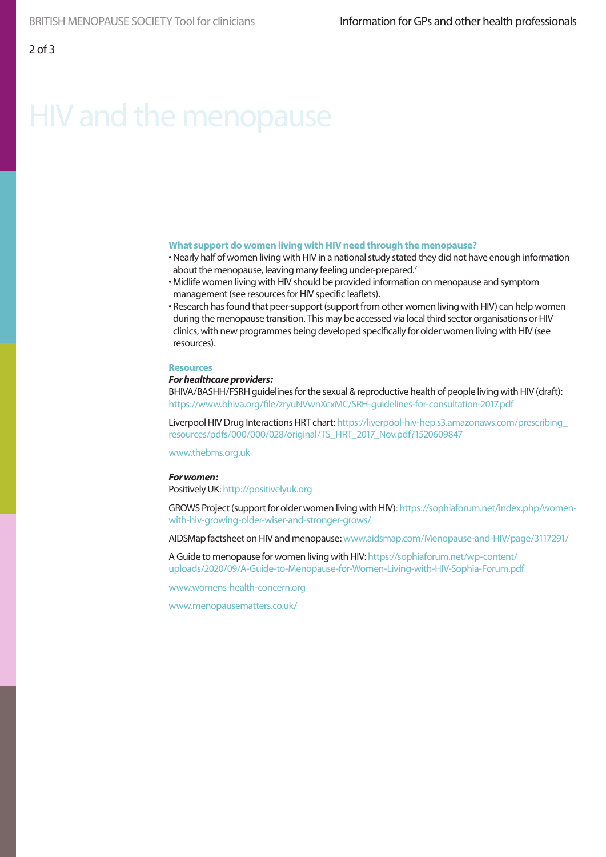## HIV and the menopause

#### **What support do women living with HIV need through the menopause?**

- Nearly half of women living with HIV in a national study stated they did not have enough information about the menopause, leaving many feeling under-prepared.<sup>7</sup>
- Midlife women living with HIV should be provided information on menopause and symptom management (see resources for HIV specific leaflets).
- Research has found that peer-support (support from other women living with HIV) can help women during the menopause transition. This may be accessed via local third sector organisations or HIV clinics, with new programmes being developed specifically for older women living with HIV (see resources).

#### **Resources**

#### *For healthcare providers:*

BHIVA/BASHH/FSRH guidelines for the sexual & reproductive health of people living with HIV (draft): https://www.bhiva.org/file/zryuNVwnXcxMC/SRH-guidelines-for-consultation-2017.pdf

Liverpool HIV Drug Interactions HRT chart: https://liverpool-hiv-hep.s3.amazonaws.com/prescribing\_ resources/pdfs/000/000/028/original/TS\_HRT\_2017\_Nov.pdf?1520609847

www.thebms.org.uk

#### *For women:*

Positively UK: http://positivelyuk.org

GROWS Project (support for older women living with HIV): https://sophiaforum.net/index.php/womenwith-hiv-growing-older-wiser-and-stronger-grows/

AIDSMap factsheet on HIV and menopause: www.aidsmap.com/Menopause-and-HIV/page/3117291/

A Guide to menopause for women living with HIV: https://sophiaforum.net/wp-content/ uploads/2020/09/A-Guide-to-Menopause-for-Women-Living-with-HIV-Sophia-Forum.pdf

www.womens-health-concern.org

www.menopausematters.co.uk/